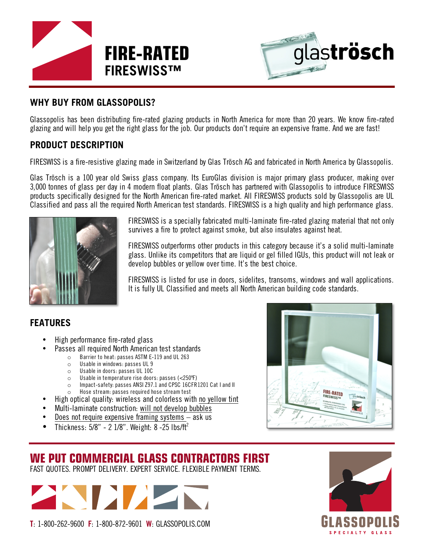



#### **WHY BUY FROM GLASSOPOLIS?**

Glassopolis has been distributing fire-rated glazing products in North America for more than 20 years. We know fire-rated glazing and will help you get the right glass for the job. Our products don't require an expensive frame. And we are fast!

#### **PRODUCT DESCRIPTION**

FIRESWISS is a fire-resistive glazing made in Switzerland by Glas Trösch AG and fabricated in North America by Glassopolis.

Glas Trösch is a 100 year old Swiss glass company. Its EuroGlas division is major primary glass producer, making over 3,000 tonnes of glass per day in 4 modern float plants. Glas Trösch has partnered with Glassopolis to introduce FIRESWISS products specifically designed for the North American fire-rated market. All FIRESWISS products sold by Glassopolis are UL Classified and pass all the required North American test standards. FIRESWISS is a high quality and high performance glass.



FIRESWISS is a specially fabricated multi-laminate fire-rated glazing material that not only survives a fire to protect against smoke, but also insulates against heat.

FIRESWISS outperforms other products in this category because it's a solid multi-laminate glass. Unlike its competitors that are liquid or gel filled IGUs, this product will not leak or develop bubbles or yellow over time. It's the best choice.

FIRESWISS is listed for use in doors, sidelites, transoms, windows and wall applications. It is fully UL Classified and meets all North American building code standards.

## **FEATURES**

- High performance fire-rated glass
- Passes all required North American test standards<br> **Example 19** Partier to beat: passes ASTM E-119 and III 263
	- Barrier to heat: passes ASTM E-119 and UL 263
	- o Usable in windows: passes UL 9
	- o Usable in doors: passes UL 10C
	- o Usable in temperature rise doors: passes (<250ºF)
	- o Impact-safety: passes ANSI Z97.1 and CPSC 16CFR1201 Cat I and II o Hose stream: passes required hose stream test
- High optical quality: wireless and colorless with no yellow tint
- Multi-laminate construction: will not develop bubbles
- Does not require expensive framing systems  $-$  ask us
- Thickness:  $5/8" 21/8"$ . Weight: 8 -25 lbs/ft<sup>2</sup>



# **WE PUT COMMERCIAL GLASS CONTRACTORS FIRST**

FAST QUOTES. PROMPT DELIVERY. EXPERT SERVICE. FLEXIBLE PAYMENT TERMS.